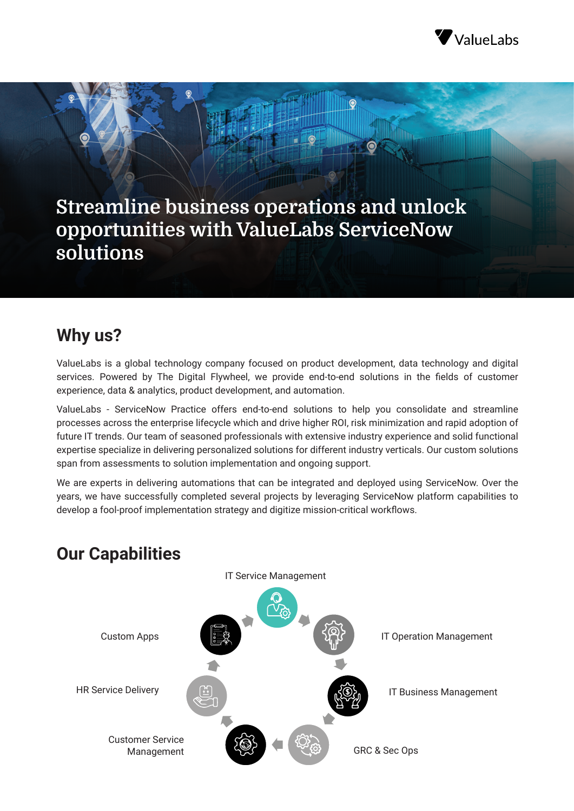

**Streamline business operations and unlock opportunities with ValueLabs ServiceNow solutions**

 $\bullet$ 

# **Why us?**

ValueLabs is a global technology company focused on product development, data technology and digital services. Powered by The Digital Flywheel, we provide end-to-end solutions in the fields of customer experience, data & analytics, product development, and automation.

ValueLabs - ServiceNow Practice offers end-to-end solutions to help you consolidate and streamline processes across the enterprise lifecycle which and drive higher ROI, risk minimization and rapid adoption of future IT trends. Our team of seasoned professionals with extensive industry experience and solid functional expertise specialize in delivering personalized solutions for different industry verticals. Our custom solutions span from assessments to solution implementation and ongoing support.

We are experts in delivering automations that can be integrated and deployed using ServiceNow. Over the years, we have successfully completed several projects by leveraging ServiceNow platform capabilities to develop a fool-proof implementation strategy and digitize mission-critical workflows.



# **Our Capabilities**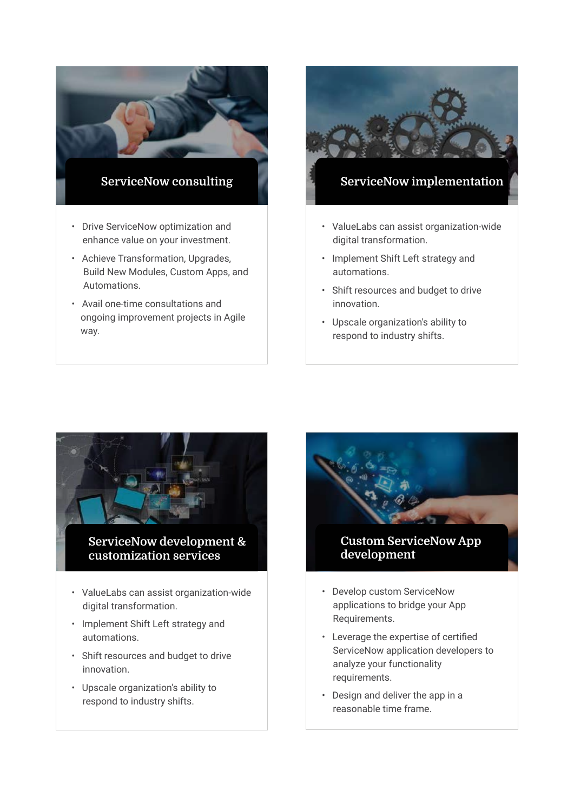

- Build New Modules, Custom Apps, and Automations.
- Avail one-time consultations and ongoing improvement projects in Agile way.



### **ServiceNow implementation**

- ValueLabs can assist organization-wide digital transformation.
- Implement Shift Left strategy and automations.
- Shift resources and budget to drive innovation.
- Upscale organization's ability to respond to industry shifts.





### **Custom ServiceNow App development**

- Develop custom ServiceNow applications to bridge your App Requirements.
- Leverage the expertise of certified ServiceNow application developers to analyze your functionality requirements.
- Design and deliver the app in a reasonable time frame.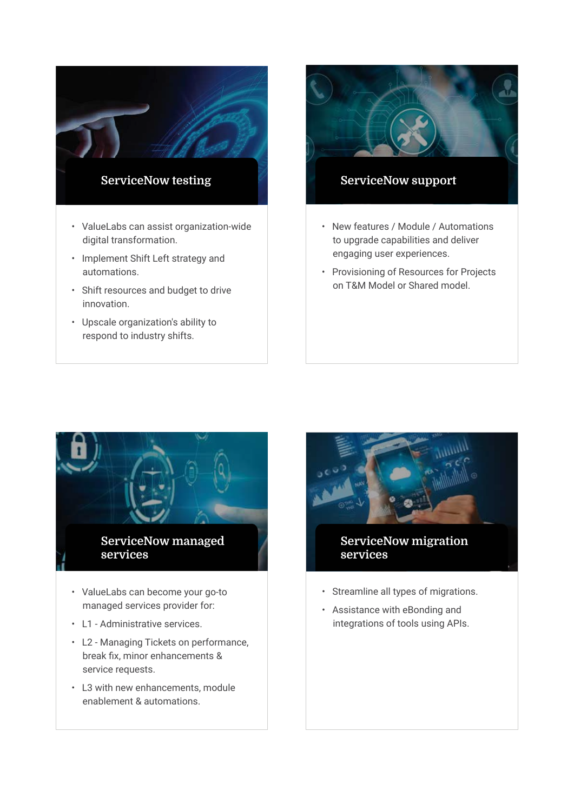

• Upscale organization's ability to respond to industry shifts.



### **ServiceNow support**

- New features / Module / Automations to upgrade capabilities and deliver engaging user experiences.
- Provisioning of Resources for Projects on T&M Model or Shared model.



- managed services provider for:
- L1 Administrative services.
- L2 Managing Tickets on performance, break fix, minor enhancements & service requests.
- L3 with new enhancements, module enablement & automations.



### **ServiceNow migration services**

- Streamline all types of migrations.
- Assistance with eBonding and integrations of tools using APIs.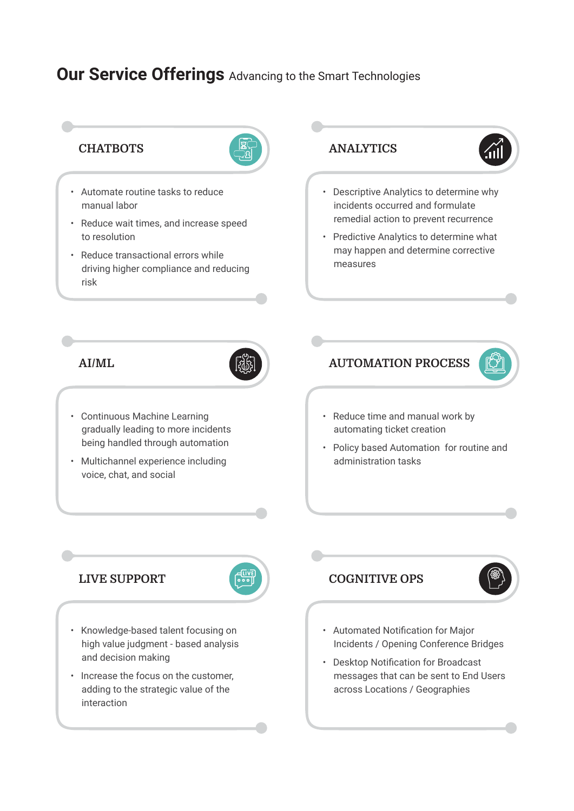# **Our Service Offerings** Advancing to the Smart Technologies



- Automate routine tasks to reduce manual labor
- Reduce wait times, and increase speed to resolution
- Reduce transactional errors while driving higher compliance and reducing risk





- Descriptive Analytics to determine why incidents occurred and formulate remedial action to prevent recurrence
- Predictive Analytics to determine what may happen and determine corrective measures

#### **AI/ML**



- Continuous Machine Learning gradually leading to more incidents being handled through automation
- Multichannel experience including voice, chat, and social

**AUTOMATION PROCESS**



- Reduce time and manual work by automating ticket creation
- Policy based Automation for routine and administration tasks

### **LIVE SUPPORT**



- Knowledge-based talent focusing on high value judgment - based analysis and decision making
- Increase the focus on the customer, adding to the strategic value of the interaction

### **COGNITIVE OPS**



- Automated Notification for Major Incidents / Opening Conference Bridges
- Desktop Notification for Broadcast messages that can be sent to End Users across Locations / Geographies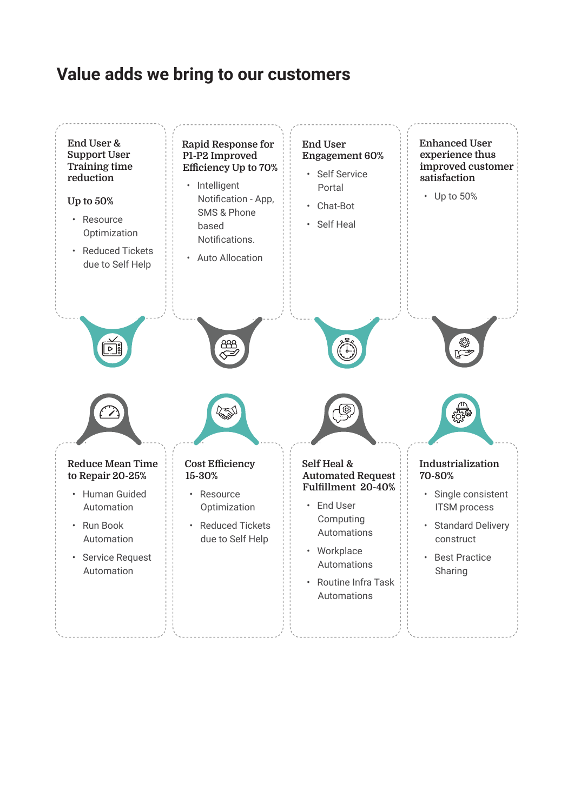# **Value adds we bring to our customers**